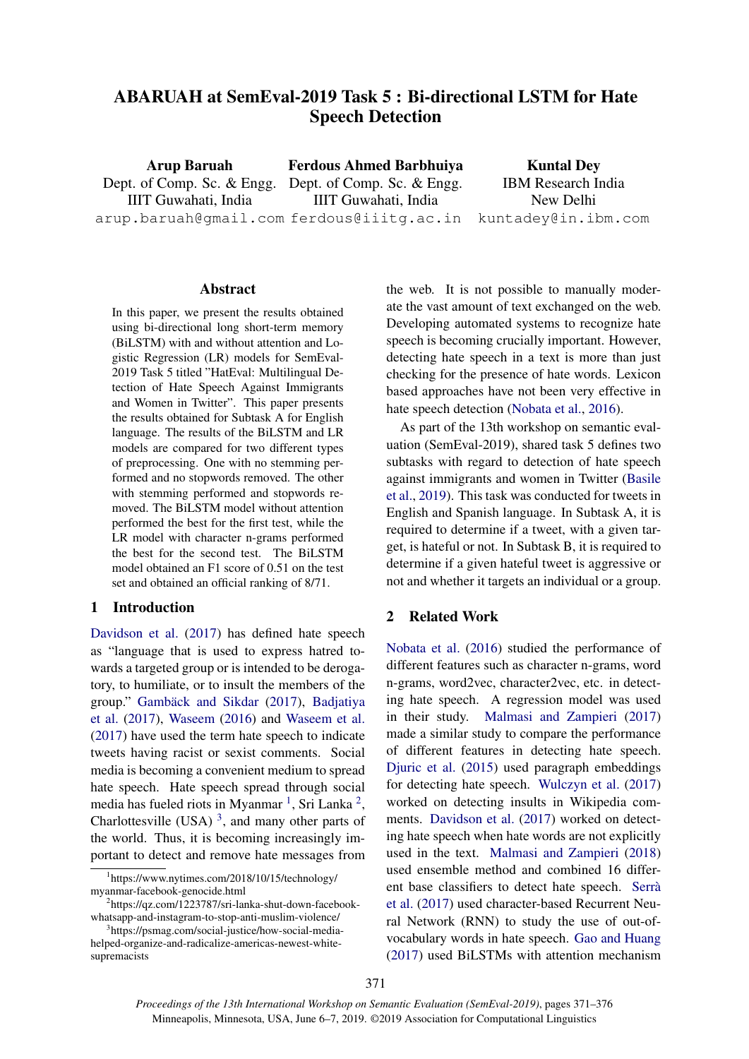# ABARUAH at SemEval-2019 Task 5 : Bi-directional LSTM for Hate Speech Detection

Arup Baruah Dept. of Comp. Sc. & Engg. IIIT Guwahati, India arup.baruah@gmail.com ferdous@iiitg.ac.in Ferdous Ahmed Barbhuiya Dept. of Comp. Sc. & Engg. IIIT Guwahati, India Kuntal Dey IBM Research India New Delhi kuntadey@in.ibm.com

#### Abstract

In this paper, we present the results obtained using bi-directional long short-term memory (BiLSTM) with and without attention and Logistic Regression (LR) models for SemEval-2019 Task 5 titled "HatEval: Multilingual Detection of Hate Speech Against Immigrants and Women in Twitter". This paper presents the results obtained for Subtask A for English language. The results of the BiLSTM and LR models are compared for two different types of preprocessing. One with no stemming performed and no stopwords removed. The other with stemming performed and stopwords removed. The BiLSTM model without attention performed the best for the first test, while the LR model with character n-grams performed the best for the second test. The BiLSTM model obtained an F1 score of 0.51 on the test set and obtained an official ranking of 8/71.

### 1 Introduction

[Davidson et al.](#page-4-0) [\(2017\)](#page-4-0) has defined hate speech as "language that is used to express hatred towards a targeted group or is intended to be derogatory, to humiliate, or to insult the members of the group." Gambäck and Sikdar [\(2017\)](#page-4-1), [Badjatiya](#page-4-2) [et al.](#page-4-2) [\(2017\)](#page-4-2), [Waseem](#page-5-0) [\(2016\)](#page-5-0) and [Waseem et al.](#page-5-1) [\(2017\)](#page-5-1) have used the term hate speech to indicate tweets having racist or sexist comments. Social media is becoming a convenient medium to spread hate speech. Hate speech spread through social media has fueled riots in Myanmar<sup>[1](#page-0-0)</sup>, Sri Lanka<sup>[2](#page-0-1)</sup>, Charlottesville (USA)<sup>[3](#page-0-2)</sup>, and many other parts of the world. Thus, it is becoming increasingly important to detect and remove hate messages from the web. It is not possible to manually moderate the vast amount of text exchanged on the web. Developing automated systems to recognize hate speech is becoming crucially important. However, detecting hate speech in a text is more than just checking for the presence of hate words. Lexicon based approaches have not been very effective in hate speech detection [\(Nobata et al.,](#page-5-2) [2016\)](#page-5-2).

As part of the 13th workshop on semantic evaluation (SemEval-2019), shared task 5 defines two subtasks with regard to detection of hate speech against immigrants and women in Twitter [\(Basile](#page-4-3) [et al.,](#page-4-3) [2019\)](#page-4-3). This task was conducted for tweets in English and Spanish language. In Subtask A, it is required to determine if a tweet, with a given target, is hateful or not. In Subtask B, it is required to determine if a given hateful tweet is aggressive or not and whether it targets an individual or a group.

# 2 Related Work

[Nobata et al.](#page-5-2) [\(2016\)](#page-5-2) studied the performance of different features such as character n-grams, word n-grams, word2vec, character2vec, etc. in detecting hate speech. A regression model was used in their study. [Malmasi and Zampieri](#page-4-4) [\(2017\)](#page-4-4) made a similar study to compare the performance of different features in detecting hate speech. [Djuric et al.](#page-4-5) [\(2015\)](#page-4-5) used paragraph embeddings for detecting hate speech. [Wulczyn et al.](#page-5-3) [\(2017\)](#page-5-3) worked on detecting insults in Wikipedia comments. [Davidson et al.](#page-4-0) [\(2017\)](#page-4-0) worked on detecting hate speech when hate words are not explicitly used in the text. [Malmasi and Zampieri](#page-5-4) [\(2018\)](#page-5-4) used ensemble method and combined 16 different base classifiers to detect hate speech. [Serra`](#page-5-5) [et al.](#page-5-5) [\(2017\)](#page-5-5) used character-based Recurrent Neural Network (RNN) to study the use of out-ofvocabulary words in hate speech. [Gao and Huang](#page-4-6) [\(2017\)](#page-4-6) used BiLSTMs with attention mechanism

<span id="page-0-0"></span><sup>1</sup> https://www.nytimes.com/2018/10/15/technology/ myanmar-facebook-genocide.html

<span id="page-0-1"></span><sup>2</sup> https://qz.com/1223787/sri-lanka-shut-down-facebookwhatsapp-and-instagram-to-stop-anti-muslim-violence/

<span id="page-0-2"></span><sup>3</sup> https://psmag.com/social-justice/how-social-mediahelped-organize-and-radicalize-americas-newest-whitesupremacists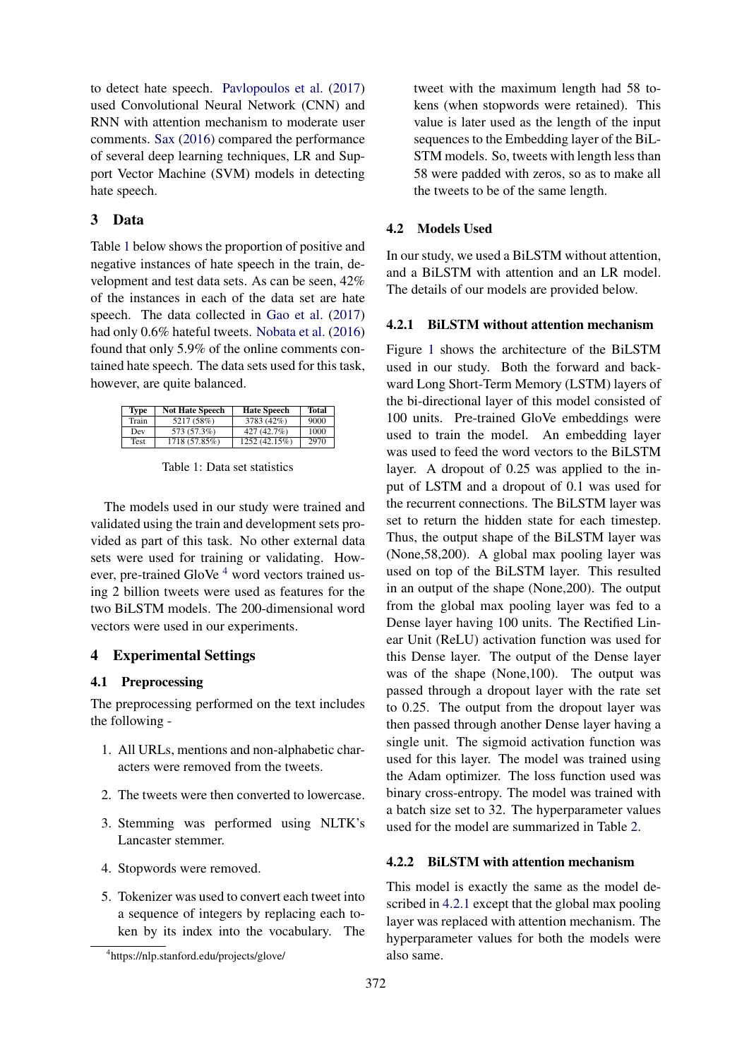to detect hate speech. [Pavlopoulos et al.](#page-5-6) [\(2017\)](#page-5-6) used Convolutional Neural Network (CNN) and RNN with attention mechanism to moderate user comments. [Sax](#page-5-7) [\(2016\)](#page-5-7) compared the performance of several deep learning techniques, LR and Support Vector Machine (SVM) models in detecting hate speech.

# 3 Data

Table [1](#page-1-0) below shows the proportion of positive and negative instances of hate speech in the train, development and test data sets. As can be seen, 42% of the instances in each of the data set are hate speech. The data collected in [Gao et al.](#page-4-7) [\(2017\)](#page-4-7) had only 0.6% hateful tweets. [Nobata et al.](#page-5-2) [\(2016\)](#page-5-2) found that only 5.9% of the online comments contained hate speech. The data sets used for this task, however, are quite balanced.

<span id="page-1-0"></span>

| <b>Type</b> | <b>Not Hate Speech</b> | <b>Hate Speech</b> | Total |
|-------------|------------------------|--------------------|-------|
| Train       | 5217 (58%)             | 3783 (42%)         | 9000  |
| Dev         | 573 (57.3%)            | 427(42.7%)         | 1000  |
| Test        | 1718(57.85%)           | 1252(42.15%)       | 2970  |

Table 1: Data set statistics

The models used in our study were trained and validated using the train and development sets provided as part of this task. No other external data sets were used for training or validating. However, pre-trained GloVe  $4\$  $4\$  word vectors trained using 2 billion tweets were used as features for the two BiLSTM models. The 200-dimensional word vectors were used in our experiments.

### 4 Experimental Settings

### 4.1 Preprocessing

The preprocessing performed on the text includes the following -

- 1. All URLs, mentions and non-alphabetic characters were removed from the tweets.
- 2. The tweets were then converted to lowercase.
- 3. Stemming was performed using NLTK's Lancaster stemmer.
- 4. Stopwords were removed.
- 5. Tokenizer was used to convert each tweet into a sequence of integers by replacing each token by its index into the vocabulary. The

tweet with the maximum length had 58 tokens (when stopwords were retained). This value is later used as the length of the input sequences to the Embedding layer of the BiL-STM models. So, tweets with length less than 58 were padded with zeros, so as to make all the tweets to be of the same length.

#### 4.2 Models Used

In our study, we used a BiLSTM without attention, and a BiLSTM with attention and an LR model. The details of our models are provided below.

#### <span id="page-1-2"></span>4.2.1 BiLSTM without attention mechanism

Figure [1](#page-2-0) shows the architecture of the BiLSTM used in our study. Both the forward and backward Long Short-Term Memory (LSTM) layers of the bi-directional layer of this model consisted of 100 units. Pre-trained GloVe embeddings were used to train the model. An embedding layer was used to feed the word vectors to the BiLSTM layer. A dropout of 0.25 was applied to the input of LSTM and a dropout of 0.1 was used for the recurrent connections. The BiLSTM layer was set to return the hidden state for each timestep. Thus, the output shape of the BiLSTM layer was (None,58,200). A global max pooling layer was used on top of the BiLSTM layer. This resulted in an output of the shape (None,200). The output from the global max pooling layer was fed to a Dense layer having 100 units. The Rectified Linear Unit (ReLU) activation function was used for this Dense layer. The output of the Dense layer was of the shape (None,100). The output was passed through a dropout layer with the rate set to 0.25. The output from the dropout layer was then passed through another Dense layer having a single unit. The sigmoid activation function was used for this layer. The model was trained using the Adam optimizer. The loss function used was binary cross-entropy. The model was trained with a batch size set to 32. The hyperparameter values used for the model are summarized in Table [2.](#page-2-1)

## 4.2.2 BiLSTM with attention mechanism

This model is exactly the same as the model described in [4.2.1](#page-1-2) except that the global max pooling layer was replaced with attention mechanism. The hyperparameter values for both the models were also same.

<span id="page-1-1"></span><sup>4</sup> https://nlp.stanford.edu/projects/glove/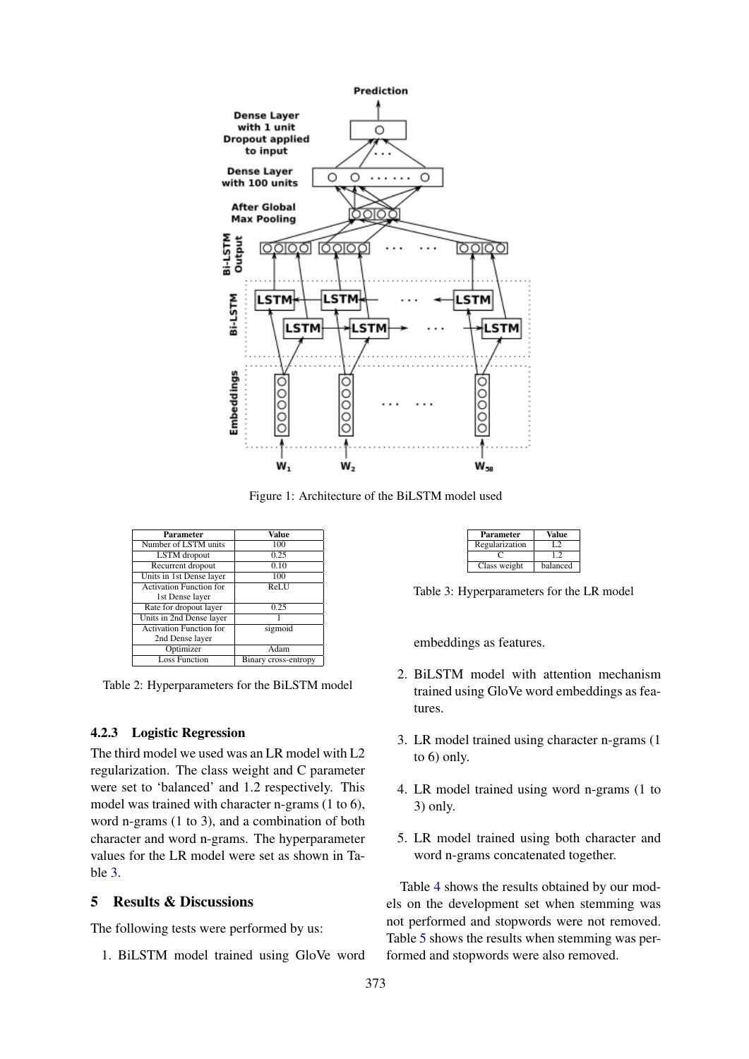<span id="page-2-0"></span>

Figure 1: Architecture of the BiLSTM model used

<span id="page-2-1"></span>

| <b>Parameter</b>               | Value                |
|--------------------------------|----------------------|
| Number of LSTM units           | 100                  |
| LSTM dropout                   | 0.25                 |
| Recurrent dropout              | 0.10                 |
| Units in 1st Dense layer       | 100                  |
| <b>Activation Function for</b> | ReLU                 |
| 1st Dense layer                |                      |
| Rate for dropout layer         | 0.25                 |
| Units in 2nd Dense layer       |                      |
| <b>Activation Function for</b> | sigmoid              |
| 2nd Dense layer                |                      |
| Optimizer                      | Adam                 |
| <b>Loss Function</b>           | Binary cross-entropy |

Table 2: Hyperparameters for the BiLSTM model

### 4.2.3 Logistic Regression

The third model we used was an LR model with L2 regularization. The class weight and C parameter were set to 'balanced' and 1.2 respectively. This model was trained with character n-grams (1 to 6), word n-grams (1 to 3), and a combination of both character and word n-grams. The hyperparameter values for the LR model were set as shown in Table [3.](#page-2-2)

# 5 Results & Discussions

The following tests were performed by us:

1. BiLSTM model trained using GloVe word

| Parameter      | Value    |
|----------------|----------|
| Regularization |          |
|                |          |
| Class weight   | balanced |

<span id="page-2-2"></span>Table 3: Hyperparameters for the LR model

embeddings as features.

- 2. BiLSTM model with attention mechanism trained using GloVe word embeddings as features.
- 3. LR model trained using character n-grams (1 to 6) only.
- 4. LR model trained using word n-grams (1 to 3) only.
- 5. LR model trained using both character and word n-grams concatenated together.

Table [4](#page-3-0) shows the results obtained by our models on the development set when stemming was not performed and stopwords were not removed. Table [5](#page-3-1) shows the results when stemming was performed and stopwords were also removed.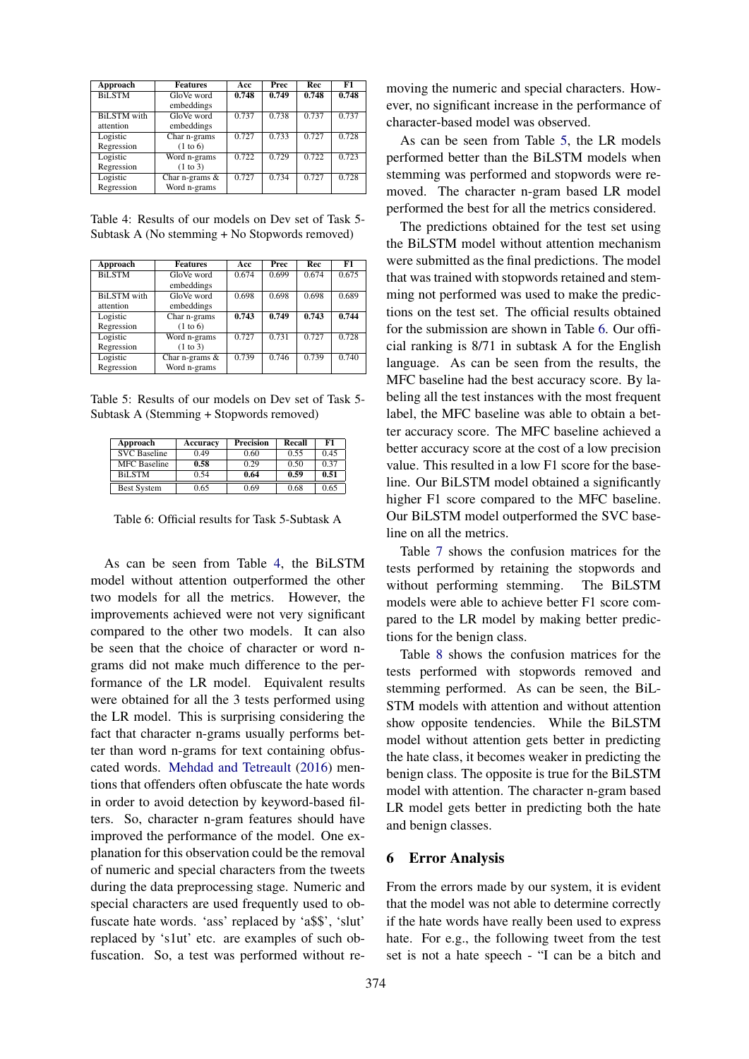<span id="page-3-0"></span>

| <b>Approach</b>    | <b>Features</b>   | Acc   | <b>Prec</b> | <b>Rec</b> | F1    |
|--------------------|-------------------|-------|-------------|------------|-------|
| <b>BiLSTM</b>      | GloVe word        | 0.748 | 0.749       | 0.748      | 0.748 |
|                    | embeddings        |       |             |            |       |
| <b>BiLSTM</b> with | GloVe word        | 0.737 | 0.738       | 0.737      | 0.737 |
| attention          | embeddings        |       |             |            |       |
| Logistic           | Char n-grams      | 0.727 | 0.733       | 0.727      | 0.728 |
| Regression         | (1 to 6)          |       |             |            |       |
| Logistic           | Word n-grams      | 0.722 | 0.729       | 0.722      | 0.723 |
| Regression         | (1 to 3)          |       |             |            |       |
| Logistic           | Char n-grams $\&$ | 0.727 | 0.734       | 0.727      | 0.728 |
| Regression         | Word n-grams      |       |             |            |       |

Table 4: Results of our models on Dev set of Task 5- Subtask A (No stemming + No Stopwords removed)

<span id="page-3-1"></span>

| Approach           | <b>Features</b>  | Acc   | <b>Prec</b> | Rec   | F1    |
|--------------------|------------------|-------|-------------|-------|-------|
| <b>BiLSTM</b>      | GloVe word       | 0.674 | 0.699       | 0.674 | 0.675 |
|                    | embeddings       |       |             |       |       |
| <b>BiLSTM</b> with | GloVe word       | 0.698 | 0.698       | 0.698 | 0.689 |
| attention          | embeddings       |       |             |       |       |
| Logistic           | Char n-grams     | 0.743 | 0.749       | 0.743 | 0.744 |
| Regression         | (1 to 6)         |       |             |       |       |
| Logistic           | Word n-grams     | 0.727 | 0.731       | 0.727 | 0.728 |
| Regression         | (1 to 3)         |       |             |       |       |
| Logistic           | Char n-grams $&$ | 0.739 | 0.746       | 0.739 | 0.740 |
| Regression         | Word n-grams     |       |             |       |       |

Table 5: Results of our models on Dev set of Task 5- Subtask A (Stemming + Stopwords removed)

<span id="page-3-2"></span>

| Approach            | Accuracy | Precision | Recall | F1   |
|---------------------|----------|-----------|--------|------|
| <b>SVC</b> Baseline | 0.49     | 0.60      | 0.55   | 0.45 |
| <b>MFC</b> Baseline | 0.58     | 0.29      | 0.50   | 0.37 |
| <b>BiLSTM</b>       | 0.54     | 0.64      | 0.59   | 0.51 |
| <b>Best System</b>  | 0.65     | 0.69      | 0.68   | 0.65 |

Table 6: Official results for Task 5-Subtask A

As can be seen from Table [4,](#page-3-0) the BiLSTM model without attention outperformed the other two models for all the metrics. However, the improvements achieved were not very significant compared to the other two models. It can also be seen that the choice of character or word ngrams did not make much difference to the performance of the LR model. Equivalent results were obtained for all the 3 tests performed using the LR model. This is surprising considering the fact that character n-grams usually performs better than word n-grams for text containing obfuscated words. [Mehdad and Tetreault](#page-5-8) [\(2016\)](#page-5-8) mentions that offenders often obfuscate the hate words in order to avoid detection by keyword-based filters. So, character n-gram features should have improved the performance of the model. One explanation for this observation could be the removal of numeric and special characters from the tweets during the data preprocessing stage. Numeric and special characters are used frequently used to obfuscate hate words. 'ass' replaced by 'a\$\$', 'slut' replaced by 's1ut' etc. are examples of such obfuscation. So, a test was performed without removing the numeric and special characters. However, no significant increase in the performance of character-based model was observed.

As can be seen from Table [5,](#page-3-1) the LR models performed better than the BiLSTM models when stemming was performed and stopwords were removed. The character n-gram based LR model performed the best for all the metrics considered.

The predictions obtained for the test set using the BiLSTM model without attention mechanism were submitted as the final predictions. The model that was trained with stopwords retained and stemming not performed was used to make the predictions on the test set. The official results obtained for the submission are shown in Table [6.](#page-3-2) Our official ranking is 8/71 in subtask A for the English language. As can be seen from the results, the MFC baseline had the best accuracy score. By labeling all the test instances with the most frequent label, the MFC baseline was able to obtain a better accuracy score. The MFC baseline achieved a better accuracy score at the cost of a low precision value. This resulted in a low F1 score for the baseline. Our BiLSTM model obtained a significantly higher F1 score compared to the MFC baseline. Our BiLSTM model outperformed the SVC baseline on all the metrics.

Table [7](#page-4-8) shows the confusion matrices for the tests performed by retaining the stopwords and without performing stemming. The BiLSTM models were able to achieve better F1 score compared to the LR model by making better predictions for the benign class.

Table [8](#page-4-9) shows the confusion matrices for the tests performed with stopwords removed and stemming performed. As can be seen, the BiL-STM models with attention and without attention show opposite tendencies. While the BiLSTM model without attention gets better in predicting the hate class, it becomes weaker in predicting the benign class. The opposite is true for the BiLSTM model with attention. The character n-gram based LR model gets better in predicting both the hate and benign classes.

#### 6 Error Analysis

From the errors made by our system, it is evident that the model was not able to determine correctly if the hate words have really been used to express hate. For e.g., the following tweet from the test set is not a hate speech - "I can be a bitch and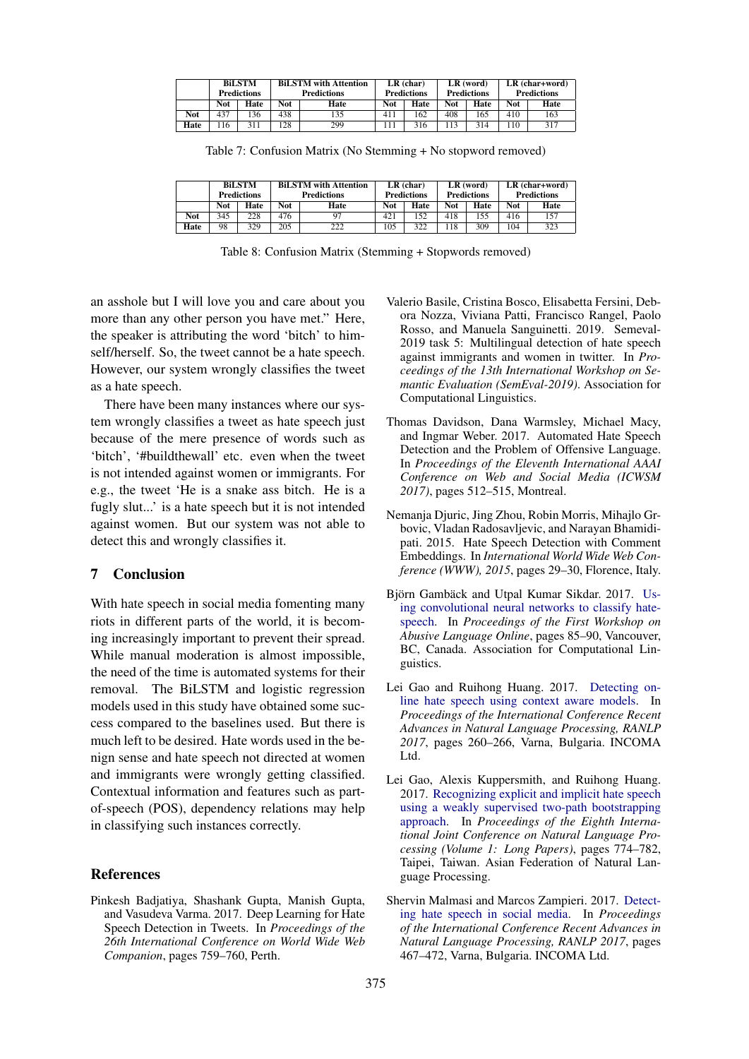<span id="page-4-8"></span>

|      | <b>BiLSTM</b><br><b>Predictions</b> |      |     | <b>BILSTM</b> with Attention<br><b>Predictions</b> | $LR$ (char)<br><b>Predictions</b> |      | $LR$ (word)<br><b>Predictions</b> |      | LR (char+word)<br><b>Predictions</b> |      |
|------|-------------------------------------|------|-----|----------------------------------------------------|-----------------------------------|------|-----------------------------------|------|--------------------------------------|------|
|      | Not                                 | Hate | Not | Hate                                               | Not                               | Hate | <b>Not</b>                        | Hate | <b>Not</b>                           | Hate |
| Not  | 437                                 | 36   | 438 | 135                                                | 411                               | 162  | 408                               | 165  | 410                                  | 163  |
| Hate | 16                                  |      | 28  | 299                                                |                                   | 316  |                                   | 314  | $10^{-1}$                            | 317  |

Table 7: Confusion Matrix (No Stemming + No stopword removed)

<span id="page-4-9"></span>

|            | <b>BiLSTM</b><br><b>Predictions</b> |      |     | <b>BILSTM</b> with Attention<br><b>Predictions</b> |     | $LR$ (char)<br><b>Predictions</b> |     | $LR$ (word)<br><b>Predictions</b> |            | $LR$ (char+word)<br><b>Predictions</b> |  |
|------------|-------------------------------------|------|-----|----------------------------------------------------|-----|-----------------------------------|-----|-----------------------------------|------------|----------------------------------------|--|
|            | Not                                 | Hate | Not | Hate                                               | Not | Hate                              | Not | Hate                              | <b>Not</b> | Hate                                   |  |
| <b>Not</b> | 345                                 | 228  | 476 | 97                                                 | 421 | 152                               | 418 | 155                               | 416        | 157                                    |  |
| Hate       | 98                                  | 329  | 205 | າາາ                                                | 105 | 322                               | 18  | 309                               | 104        | 323                                    |  |

Table 8: Confusion Matrix (Stemming + Stopwords removed)

an asshole but I will love you and care about you more than any other person you have met." Here, the speaker is attributing the word 'bitch' to himself/herself. So, the tweet cannot be a hate speech. However, our system wrongly classifies the tweet as a hate speech.

There have been many instances where our system wrongly classifies a tweet as hate speech just because of the mere presence of words such as 'bitch', '#buildthewall' etc. even when the tweet is not intended against women or immigrants. For e.g., the tweet 'He is a snake ass bitch. He is a fugly slut...' is a hate speech but it is not intended against women. But our system was not able to detect this and wrongly classifies it.

# 7 Conclusion

With hate speech in social media fomenting many riots in different parts of the world, it is becoming increasingly important to prevent their spread. While manual moderation is almost impossible, the need of the time is automated systems for their removal. The BiLSTM and logistic regression models used in this study have obtained some success compared to the baselines used. But there is much left to be desired. Hate words used in the benign sense and hate speech not directed at women and immigrants were wrongly getting classified. Contextual information and features such as partof-speech (POS), dependency relations may help in classifying such instances correctly.

#### References

<span id="page-4-2"></span>Pinkesh Badjatiya, Shashank Gupta, Manish Gupta, and Vasudeva Varma. 2017. Deep Learning for Hate Speech Detection in Tweets. In *Proceedings of the 26th International Conference on World Wide Web Companion*, pages 759–760, Perth.

- <span id="page-4-3"></span>Valerio Basile, Cristina Bosco, Elisabetta Fersini, Debora Nozza, Viviana Patti, Francisco Rangel, Paolo Rosso, and Manuela Sanguinetti. 2019. Semeval-2019 task 5: Multilingual detection of hate speech against immigrants and women in twitter. In *Proceedings of the 13th International Workshop on Semantic Evaluation (SemEval-2019)*. Association for Computational Linguistics.
- <span id="page-4-0"></span>Thomas Davidson, Dana Warmsley, Michael Macy, and Ingmar Weber. 2017. Automated Hate Speech Detection and the Problem of Offensive Language. In *Proceedings of the Eleventh International AAAI Conference on Web and Social Media (ICWSM 2017)*, pages 512–515, Montreal.
- <span id="page-4-5"></span>Nemanja Djuric, Jing Zhou, Robin Morris, Mihajlo Grbovic, Vladan Radosavljevic, and Narayan Bhamidipati. 2015. Hate Speech Detection with Comment Embeddings. In *International World Wide Web Conference (WWW), 2015*, pages 29–30, Florence, Italy.
- <span id="page-4-1"></span>Björn Gambäck and Utpal Kumar Sikdar. 2017. [Us](https://doi.org/10.18653/v1/W17-3013)[ing convolutional neural networks to classify hate](https://doi.org/10.18653/v1/W17-3013)[speech.](https://doi.org/10.18653/v1/W17-3013) In *Proceedings of the First Workshop on Abusive Language Online*, pages 85–90, Vancouver, BC, Canada. Association for Computational Linguistics.
- <span id="page-4-6"></span>Lei Gao and Ruihong Huang. 2017. [Detecting on](https://doi.org/10.26615/978-954-452-049-6_036)[line hate speech using context aware models.](https://doi.org/10.26615/978-954-452-049-6_036) In *Proceedings of the International Conference Recent Advances in Natural Language Processing, RANLP 2017*, pages 260–266, Varna, Bulgaria. INCOMA Ltd.
- <span id="page-4-7"></span>Lei Gao, Alexis Kuppersmith, and Ruihong Huang. 2017. [Recognizing explicit and implicit hate speech](https://www.aclweb.org/anthology/I17-1078) [using a weakly supervised two-path bootstrapping](https://www.aclweb.org/anthology/I17-1078) [approach.](https://www.aclweb.org/anthology/I17-1078) In *Proceedings of the Eighth International Joint Conference on Natural Language Processing (Volume 1: Long Papers)*, pages 774–782, Taipei, Taiwan. Asian Federation of Natural Language Processing.
- <span id="page-4-4"></span>Shervin Malmasi and Marcos Zampieri. 2017. [Detect](https://doi.org/10.26615/978-954-452-049-6_062)[ing hate speech in social media.](https://doi.org/10.26615/978-954-452-049-6_062) In *Proceedings of the International Conference Recent Advances in Natural Language Processing, RANLP 2017*, pages 467–472, Varna, Bulgaria. INCOMA Ltd.